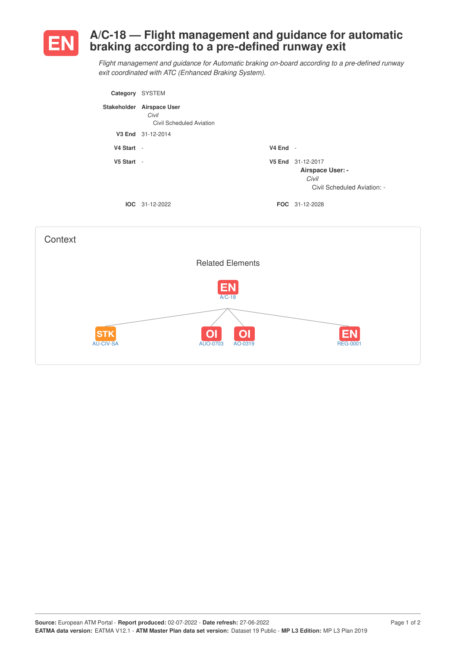

## **A/C-18 — Flight management and guidance for automatic braking according to a pre-defined runway exit**

*Flight management and guidance for Automatic braking on-board according to a pre-defined runway exit coordinated with ATC (Enhanced Braking System).*

| Category   | <b>SYSTEM</b>                                                  |            |                                                                               |
|------------|----------------------------------------------------------------|------------|-------------------------------------------------------------------------------|
|            | Stakeholder Airspace User<br>Civil<br>Civil Scheduled Aviation |            |                                                                               |
|            | V3 End 31-12-2014                                              |            |                                                                               |
| V4 Start - |                                                                | $V4$ End - |                                                                               |
| V5 Start - |                                                                |            | V5 End 31-12-2017<br>Airspace User: -<br>Civil<br>Civil Scheduled Aviation: - |
|            | $IOC 31-12-2022$                                               |            | <b>FOC</b> 31-12-2028                                                         |